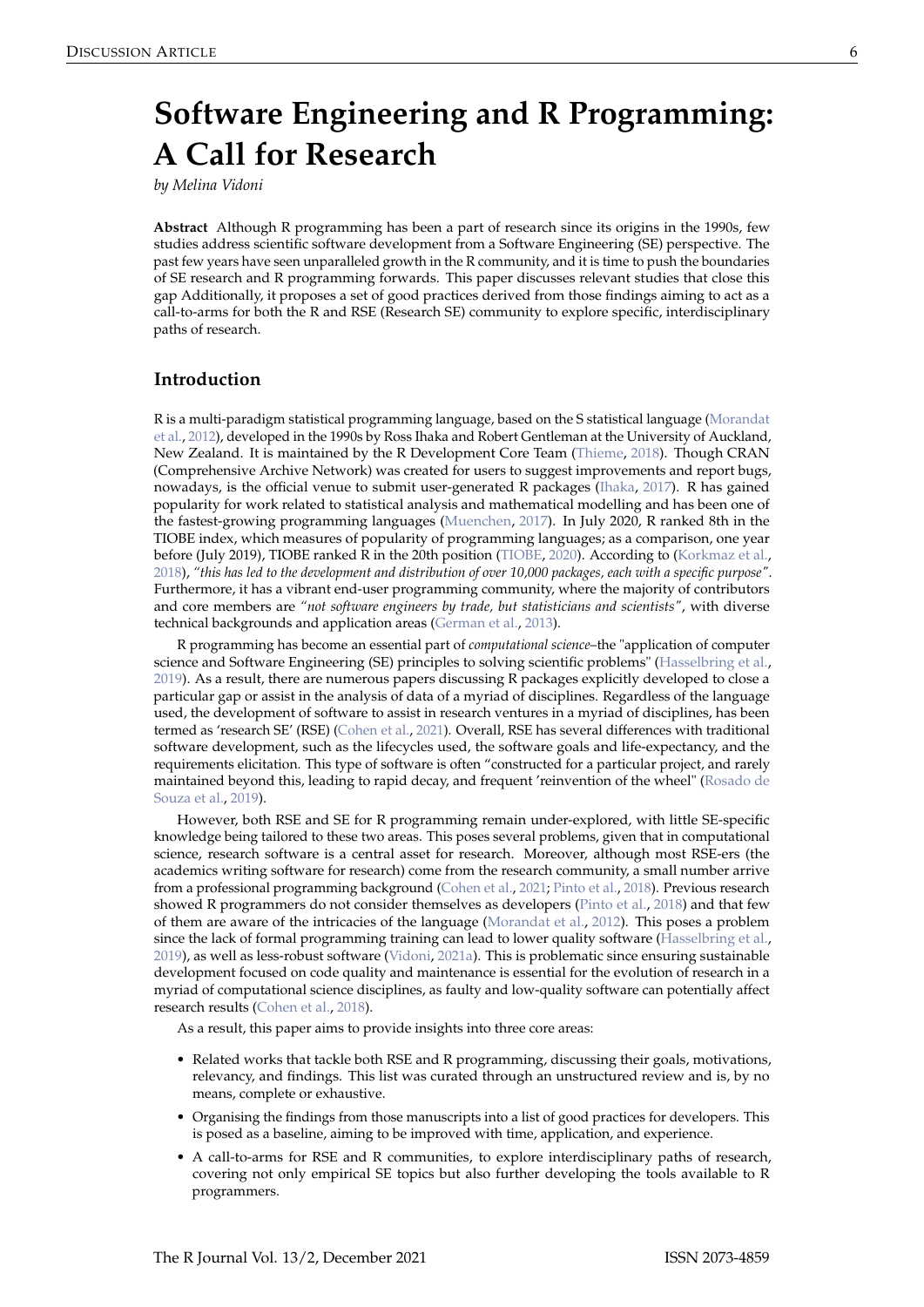# <span id="page-0-0"></span>**Software Engineering and R Programming: A Call for Research**

*by Melina Vidoni*

**Abstract** Although R programming has been a part of research since its origins in the 1990s, few studies address scientific software development from a Software Engineering (SE) perspective. The past few years have seen unparalleled growth in the R community, and it is time to push the boundaries of SE research and R programming forwards. This paper discusses relevant studies that close this gap Additionally, it proposes a set of good practices derived from those findings aiming to act as a call-to-arms for both the R and RSE (Research SE) community to explore specific, interdisciplinary paths of research.

## **Introduction**

R is a multi-paradigm statistical programming language, based on the S statistical language [\(Morandat](#page-7-0) [et al.,](#page-7-0) [2012\)](#page-7-0), developed in the 1990s by Ross Ihaka and Robert Gentleman at the University of Auckland, New Zealand. It is maintained by the R Development Core Team [\(Thieme,](#page-8-0) [2018\)](#page-8-0). Though CRAN (Comprehensive Archive Network) was created for users to suggest improvements and report bugs, nowadays, is the official venue to submit user-generated R packages [\(Ihaka,](#page-7-1) [2017\)](#page-7-1). R has gained popularity for work related to statistical analysis and mathematical modelling and has been one of the fastest-growing programming languages [\(Muenchen,](#page-7-2) [2017\)](#page-7-2). In July 2020, R ranked 8th in the TIOBE index, which measures of popularity of programming languages; as a comparison, one year before (July 2019), TIOBE ranked R in the 20th position [\(TIOBE,](#page-8-1) [2020\)](#page-8-1). According to [\(Korkmaz et al.,](#page-7-3) [2018\)](#page-7-3), *"this has led to the development and distribution of over 10,000 packages, each with a specific purpose"*. Furthermore, it has a vibrant end-user programming community, where the majority of contributors and core members are *"not software engineers by trade, but statisticians and scientists"*, with diverse technical backgrounds and application areas [\(German et al.,](#page-7-4) [2013\)](#page-7-4).

R programming has become an essential part of *computational science*–the "application of computer science and Software Engineering (SE) principles to solving scientific problems" [\(Hasselbring et al.,](#page-7-5) [2019\)](#page-7-5). As a result, there are numerous papers discussing R packages explicitly developed to close a particular gap or assist in the analysis of data of a myriad of disciplines. Regardless of the language used, the development of software to assist in research ventures in a myriad of disciplines, has been termed as 'research SE' (RSE) [\(Cohen et al.,](#page-6-0) [2021\)](#page-6-0). Overall, RSE has several differences with traditional software development, such as the lifecycles used, the software goals and life-expectancy, and the requirements elicitation. This type of software is often "constructed for a particular project, and rarely maintained beyond this, leading to rapid decay, and frequent 'reinvention of the wheel" [\(Rosado de](#page-7-6) [Souza et al.,](#page-7-6) [2019\)](#page-7-6).

However, both RSE and SE for R programming remain under-explored, with little SE-specific knowledge being tailored to these two areas. This poses several problems, given that in computational science, research software is a central asset for research. Moreover, although most RSE-ers (the academics writing software for research) come from the research community, a small number arrive from a professional programming background [\(Cohen et al.,](#page-6-0) [2021;](#page-6-0) [Pinto et al.,](#page-7-7) [2018\)](#page-7-7). Previous research showed R programmers do not consider themselves as developers [\(Pinto et al.,](#page-7-7) [2018\)](#page-7-7) and that few of them are aware of the intricacies of the language [\(Morandat et al.,](#page-7-0) [2012\)](#page-7-0). This poses a problem since the lack of formal programming training can lead to lower quality software [\(Hasselbring et al.,](#page-7-5) [2019\)](#page-7-5), as well as less-robust software [\(Vidoni,](#page-8-2) [2021a\)](#page-8-2). This is problematic since ensuring sustainable development focused on code quality and maintenance is essential for the evolution of research in a myriad of computational science disciplines, as faulty and low-quality software can potentially affect research results [\(Cohen et al.,](#page-6-1) [2018\)](#page-6-1).

As a result, this paper aims to provide insights into three core areas:

- Related works that tackle both RSE and R programming, discussing their goals, motivations, relevancy, and findings. This list was curated through an unstructured review and is, by no means, complete or exhaustive.
- Organising the findings from those manuscripts into a list of good practices for developers. This is posed as a baseline, aiming to be improved with time, application, and experience.
- A call-to-arms for RSE and R communities, to explore interdisciplinary paths of research, covering not only empirical SE topics but also further developing the tools available to R programmers.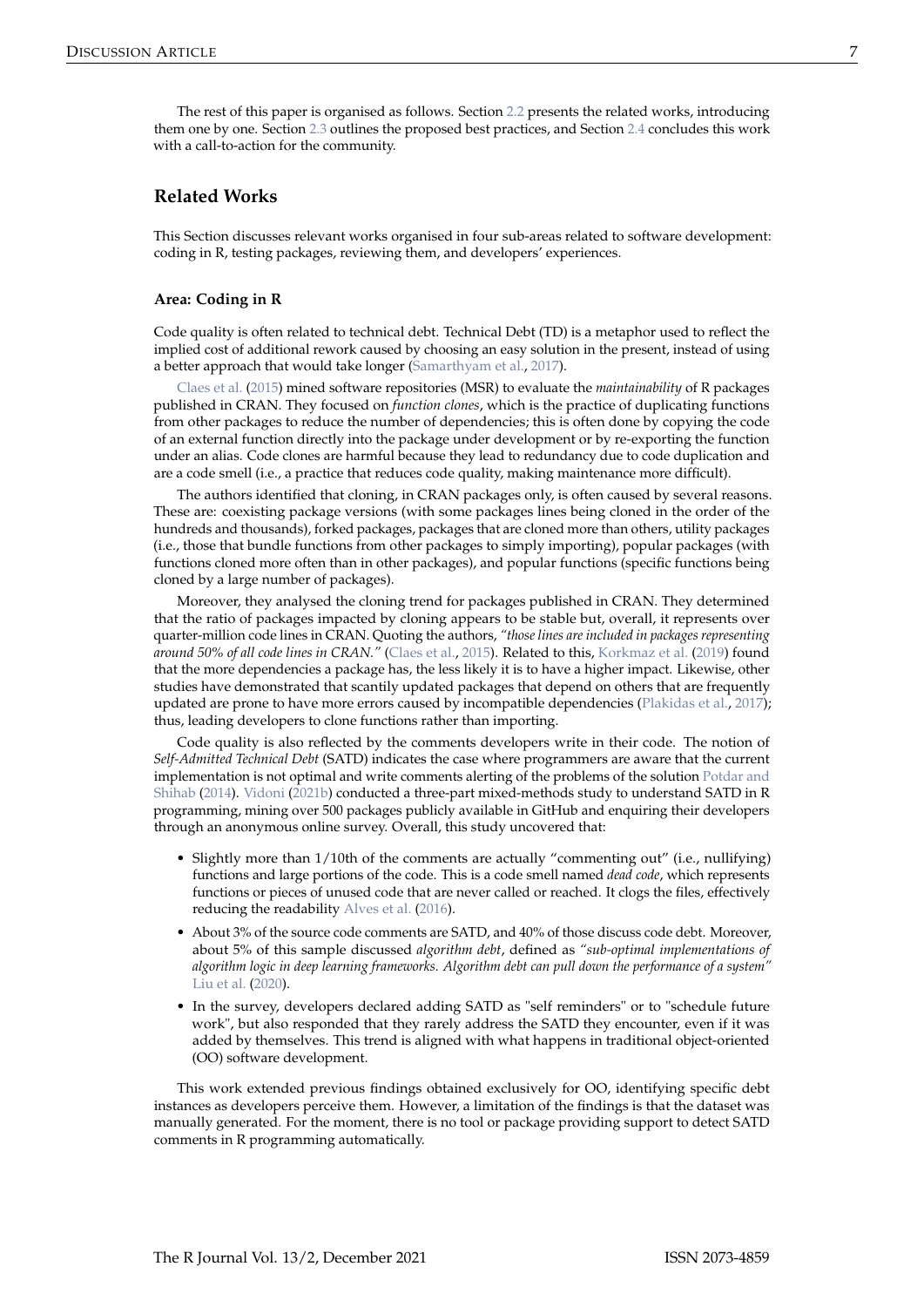## <span id="page-1-1"></span><span id="page-1-0"></span>**Related Works**

This Section discusses relevant works organised in four sub-areas related to software development: coding in R, testing packages, reviewing them, and developers' experiences.

#### **Area: Coding in R**

Code quality is often related to technical debt. Technical Debt (TD) is a metaphor used to reflect the implied cost of additional rework caused by choosing an easy solution in the present, instead of using a better approach that would take longer [\(Samarthyam et al.,](#page-8-3) [2017\)](#page-8-3).

[Claes et al.](#page-6-2) [\(2015\)](#page-6-2) mined software repositories (MSR) to evaluate the *maintainability* of R packages published in CRAN. They focused on *function clones*, which is the practice of duplicating functions from other packages to reduce the number of dependencies; this is often done by copying the code of an external function directly into the package under development or by re-exporting the function under an alias. Code clones are harmful because they lead to redundancy due to code duplication and are a code smell (i.e., a practice that reduces code quality, making maintenance more difficult).

The authors identified that cloning, in CRAN packages only, is often caused by several reasons. These are: coexisting package versions (with some packages lines being cloned in the order of the hundreds and thousands), forked packages, packages that are cloned more than others, utility packages (i.e., those that bundle functions from other packages to simply importing), popular packages (with functions cloned more often than in other packages), and popular functions (specific functions being cloned by a large number of packages).

Moreover, they analysed the cloning trend for packages published in CRAN. They determined that the ratio of packages impacted by cloning appears to be stable but, overall, it represents over quarter-million code lines in CRAN. Quoting the authors, *"those lines are included in packages representing around 50% of all code lines in CRAN."* [\(Claes et al.,](#page-6-2) [2015\)](#page-6-2). Related to this, [Korkmaz et al.](#page-7-8) [\(2019\)](#page-7-8) found that the more dependencies a package has, the less likely it is to have a higher impact. Likewise, other studies have demonstrated that scantily updated packages that depend on others that are frequently updated are prone to have more errors caused by incompatible dependencies [\(Plakidas et al.,](#page-7-9) [2017\)](#page-7-9); thus, leading developers to clone functions rather than importing.

Code quality is also reflected by the comments developers write in their code. The notion of *Self-Admitted Technical Debt* (SATD) indicates the case where programmers are aware that the current implementation is not optimal and write comments alerting of the problems of the solution [Potdar and](#page-7-10) [Shihab](#page-7-10) [\(2014\)](#page-7-10). [Vidoni](#page-8-4) [\(2021b\)](#page-8-4) conducted a three-part mixed-methods study to understand SATD in R programming, mining over 500 packages publicly available in GitHub and enquiring their developers through an anonymous online survey. Overall, this study uncovered that:

- Slightly more than 1/10th of the comments are actually "commenting out" (i.e., nullifying) functions and large portions of the code. This is a code smell named *dead code*, which represents functions or pieces of unused code that are never called or reached. It clogs the files, effectively reducing the readability [Alves et al.](#page-6-3) [\(2016\)](#page-6-3).
- About 3% of the source code comments are SATD, and 40% of those discuss code debt. Moreover, about 5% of this sample discussed *algorithm debt*, defined as *"sub-optimal implementations of algorithm logic in deep learning frameworks. Algorithm debt can pull down the performance of a system"* [Liu et al.](#page-7-11) [\(2020\)](#page-7-11).
- In the survey, developers declared adding SATD as "self reminders" or to "schedule future work", but also responded that they rarely address the SATD they encounter, even if it was added by themselves. This trend is aligned with what happens in traditional object-oriented (OO) software development.

This work extended previous findings obtained exclusively for OO, identifying specific debt instances as developers perceive them. However, a limitation of the findings is that the dataset was manually generated. For the moment, there is no tool or package providing support to detect SATD comments in R programming automatically.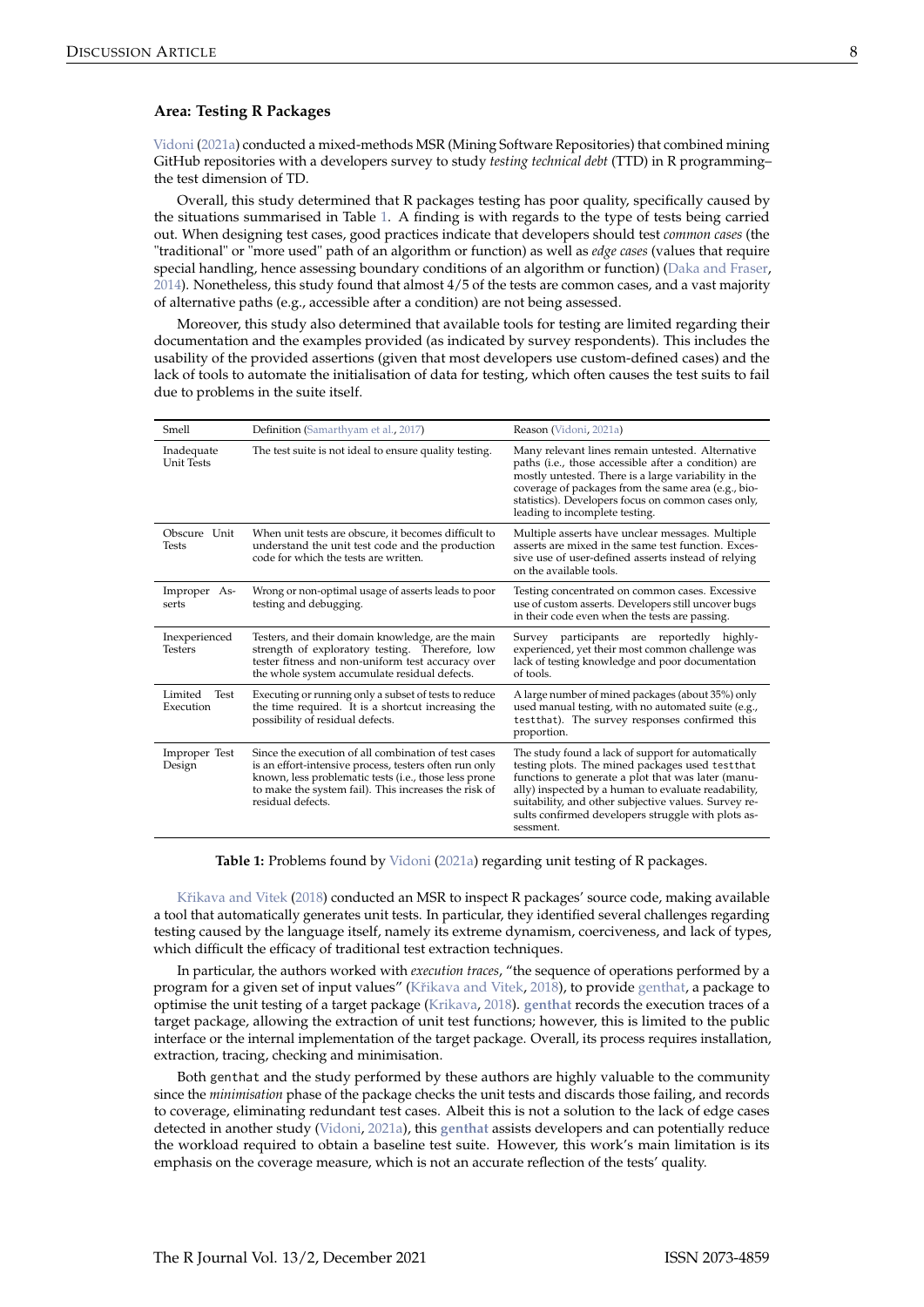#### <span id="page-2-1"></span>**Area: Testing R Packages**

[Vidoni](#page-8-2) [\(2021a\)](#page-8-2) conducted a mixed-methods MSR (Mining Software Repositories) that combined mining GitHub repositories with a developers survey to study *testing technical debt* (TTD) in R programming– the test dimension of TD.

Overall, this study determined that R packages testing has poor quality, specifically caused by the situations summarised in Table [1.](#page-2-0) A finding is with regards to the type of tests being carried out. When designing test cases, good practices indicate that developers should test *common cases* (the "traditional" or "more used" path of an algorithm or function) as well as *edge cases* (values that require special handling, hence assessing boundary conditions of an algorithm or function) [\(Daka and Fraser,](#page-7-12) [2014\)](#page-7-12). Nonetheless, this study found that almost 4/5 of the tests are common cases, and a vast majority of alternative paths (e.g., accessible after a condition) are not being assessed.

Moreover, this study also determined that available tools for testing are limited regarding their documentation and the examples provided (as indicated by survey respondents). This includes the usability of the provided assertions (given that most developers use custom-defined cases) and the lack of tools to automate the initialisation of data for testing, which often causes the test suits to fail due to problems in the suite itself.

<span id="page-2-0"></span>

| <b>Smell</b>                    | Definition (Samarthyam et al., 2017)                                                                                                                                                                                                                 | Reason (Vidoni, 2021a)                                                                                                                                                                                                                                                                                                                          |
|---------------------------------|------------------------------------------------------------------------------------------------------------------------------------------------------------------------------------------------------------------------------------------------------|-------------------------------------------------------------------------------------------------------------------------------------------------------------------------------------------------------------------------------------------------------------------------------------------------------------------------------------------------|
| Inadequate<br><b>Unit Tests</b> | The test suite is not ideal to ensure quality testing.                                                                                                                                                                                               | Many relevant lines remain untested. Alternative<br>paths (i.e., those accessible after a condition) are<br>mostly untested. There is a large variability in the<br>coverage of packages from the same area (e.g., bio-<br>statistics). Developers focus on common cases only,<br>leading to incomplete testing.                                |
| Obscure Unit<br><b>Tests</b>    | When unit tests are obscure, it becomes difficult to<br>understand the unit test code and the production<br>code for which the tests are written.                                                                                                    | Multiple asserts have unclear messages. Multiple<br>asserts are mixed in the same test function. Exces-<br>sive use of user-defined asserts instead of relying<br>on the available tools.                                                                                                                                                       |
| Improper As-<br>serts           | Wrong or non-optimal usage of asserts leads to poor<br>testing and debugging.                                                                                                                                                                        | Testing concentrated on common cases. Excessive<br>use of custom asserts. Developers still uncover bugs<br>in their code even when the tests are passing.                                                                                                                                                                                       |
| Inexperienced<br><b>Testers</b> | Testers, and their domain knowledge, are the main<br>strength of exploratory testing. Therefore, low<br>tester fitness and non-uniform test accuracy over<br>the whole system accumulate residual defects.                                           | Survey participants are reportedly highly-<br>experienced, yet their most common challenge was<br>lack of testing knowledge and poor documentation<br>of tools.                                                                                                                                                                                 |
| Limited<br>Test<br>Execution    | Executing or running only a subset of tests to reduce<br>the time required. It is a shortcut increasing the<br>possibility of residual defects.                                                                                                      | A large number of mined packages (about 35%) only<br>used manual testing, with no automated suite (e.g.,<br>testthat). The survey responses confirmed this<br>proportion.                                                                                                                                                                       |
| Improper Test<br>Design         | Since the execution of all combination of test cases<br>is an effort-intensive process, testers often run only<br>known, less problematic tests (i.e., those less prone<br>to make the system fail). This increases the risk of<br>residual defects. | The study found a lack of support for automatically<br>testing plots. The mined packages used test that<br>functions to generate a plot that was later (manu-<br>ally) inspected by a human to evaluate readability,<br>suitability, and other subjective values. Survey re-<br>sults confirmed developers struggle with plots as-<br>sessment. |

**Table 1:** Problems found by [Vidoni](#page-8-2) [\(2021a\)](#page-8-2) regarding unit testing of R packages.

Křikava and Vitek [\(2018\)](#page-7-13) conducted an MSR to inspect R packages' source code, making available a tool that automatically generates unit tests. In particular, they identified several challenges regarding testing caused by the language itself, namely its extreme dynamism, coerciveness, and lack of types, which difficult the efficacy of traditional test extraction techniques.

In particular, the authors worked with *execution traces*, "the sequence of operations performed by a program for a given set of input values" (Křikava and Vitek, [2018\)](#page-7-13), to provide [genthat,](https://github.com/PRL-PRG/genthat) a package to optimise the unit testing of a target package [\(Krikava,](#page-7-14) [2018\)](#page-7-14). **[genthat](https://CRAN.R-project.org/package=genthat)** records the execution traces of a target package, allowing the extraction of unit test functions; however, this is limited to the public interface or the internal implementation of the target package. Overall, its process requires installation, extraction, tracing, checking and minimisation.

Both genthat and the study performed by these authors are highly valuable to the community since the *minimisation* phase of the package checks the unit tests and discards those failing, and records to coverage, eliminating redundant test cases. Albeit this is not a solution to the lack of edge cases detected in another study [\(Vidoni,](#page-8-2) [2021a\)](#page-8-2), this **[genthat](https://CRAN.R-project.org/package=genthat)** assists developers and can potentially reduce the workload required to obtain a baseline test suite. However, this work's main limitation is its emphasis on the coverage measure, which is not an accurate reflection of the tests' quality.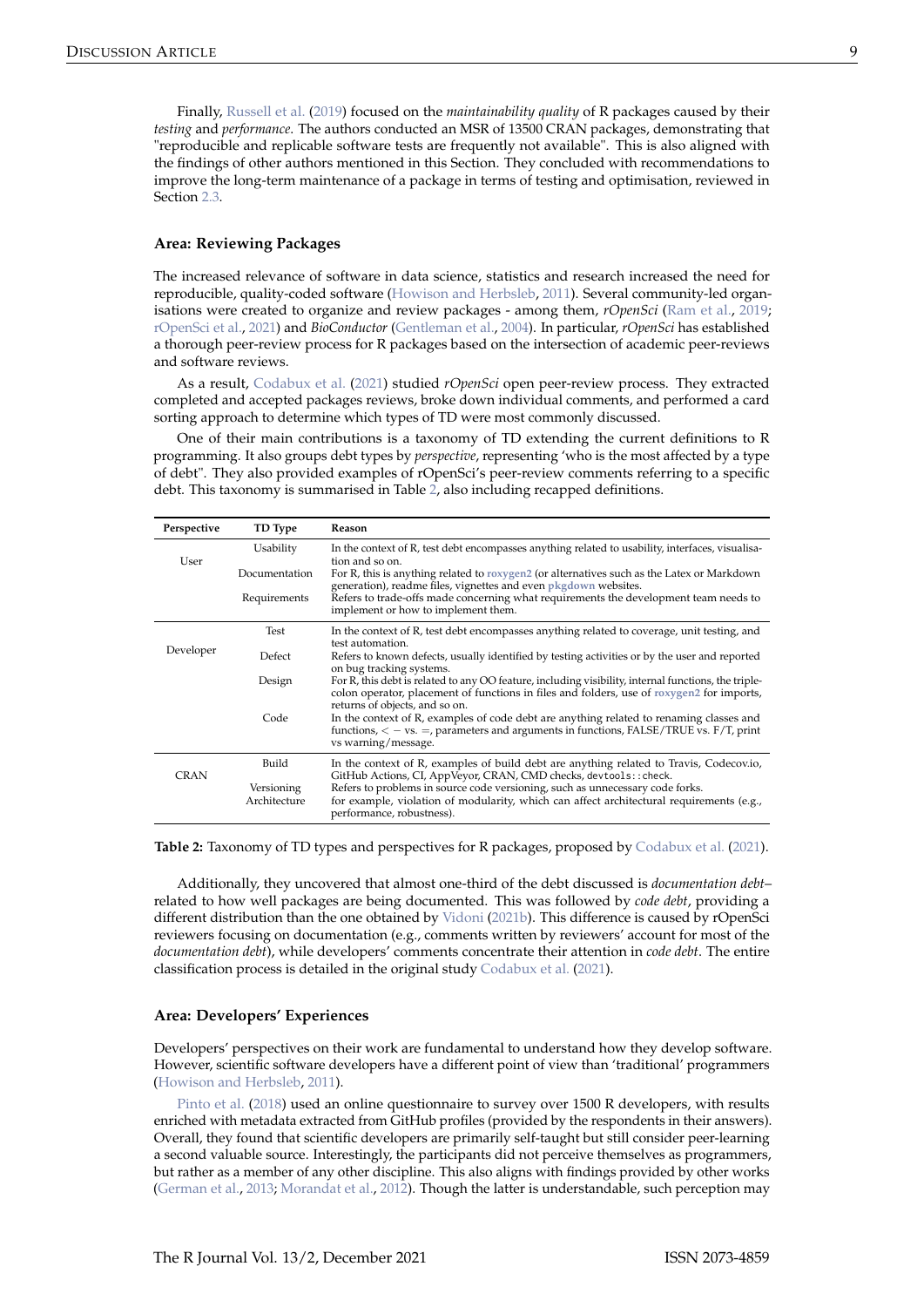<span id="page-3-1"></span>Finally, [Russell et al.](#page-8-5) [\(2019\)](#page-8-5) focused on the *maintainability quality* of R packages caused by their *testing* and *performance*. The authors conducted an MSR of 13500 CRAN packages, demonstrating that "reproducible and replicable software tests are frequently not available". This is also aligned with the findings of other authors mentioned in this Section. They concluded with recommendations to improve the long-term maintenance of a package in terms of testing and optimisation, reviewed in Section [2.3.](#page-5-0)

#### **Area: Reviewing Packages**

The increased relevance of software in data science, statistics and research increased the need for reproducible, quality-coded software [\(Howison and Herbsleb,](#page-7-15) [2011\)](#page-7-15). Several community-led organisations were created to organize and review packages - among them, *rOpenSci* [\(Ram et al.,](#page-7-16) [2019;](#page-7-16) [rOpenSci et al.,](#page-7-17) [2021\)](#page-7-17) and *BioConductor* [\(Gentleman et al.,](#page-7-18) [2004\)](#page-7-18). In particular, *rOpenSci* has established a thorough peer-review process for R packages based on the intersection of academic peer-reviews and software reviews.

As a result, [Codabux et al.](#page-6-4) [\(2021\)](#page-6-4) studied *rOpenSci* open peer-review process. They extracted completed and accepted packages reviews, broke down individual comments, and performed a card sorting approach to determine which types of TD were most commonly discussed.

One of their main contributions is a taxonomy of TD extending the current definitions to R programming. It also groups debt types by *perspective*, representing 'who is the most affected by a type of debt". They also provided examples of rOpenSci's peer-review comments referring to a specific debt. This taxonomy is summarised in Table [2,](#page-3-0) also including recapped definitions.

<span id="page-3-0"></span>

| Perspective | TD Type                    | <b>Reason</b>                                                                                                                                                                                                                       |
|-------------|----------------------------|-------------------------------------------------------------------------------------------------------------------------------------------------------------------------------------------------------------------------------------|
| User        | Usability                  | In the context of R, test debt encompasses anything related to usability, interfaces, visualisa-                                                                                                                                    |
|             | Documentation              | tion and so on.<br>For R, this is anything related to roxygen2 (or alternatives such as the Latex or Markdown<br>generation), readme files, vignettes and even pkgdown websites.                                                    |
|             | Requirements               | Refers to trade-offs made concerning what requirements the development team needs to<br>implement or how to implement them.                                                                                                         |
| Developer   | Test                       | In the context of R, test debt encompasses anything related to coverage, unit testing, and<br>test automation.                                                                                                                      |
|             | Defect                     | Refers to known defects, usually identified by testing activities or by the user and reported<br>on bug tracking systems.                                                                                                           |
|             | Design                     | For R, this debt is related to any OO feature, including visibility, internal functions, the triple-<br>colon operator, placement of functions in files and folders, use of roxygen2 for imports,<br>returns of objects, and so on. |
|             | Code                       | In the context of R, examples of code debt are anything related to renaming classes and<br>functions, $\langle -\nu s\rangle =$ , parameters and arguments in functions, FALSE/TRUE vs. F/T, print<br>vs warning/message.           |
| <b>CRAN</b> | Build                      | In the context of R, examples of build debt are anything related to Travis, Codecovio,<br>GitHub Actions, CI, AppVeyor, CRAN, CMD checks, devtools:: check.                                                                         |
|             | Versioning<br>Architecture | Refers to problems in source code versioning, such as unnecessary code forks.<br>for example, violation of modularity, which can affect architectural requirements (e.g.,<br>performance, robustness).                              |

**Table 2:** Taxonomy of TD types and perspectives for R packages, proposed by [Codabux et al.](#page-6-4) [\(2021\)](#page-6-4).

Additionally, they uncovered that almost one-third of the debt discussed is *documentation debt*– related to how well packages are being documented. This was followed by *code debt*, providing a different distribution than the one obtained by [Vidoni](#page-8-4) [\(2021b\)](#page-8-4). This difference is caused by rOpenSci reviewers focusing on documentation (e.g., comments written by reviewers' account for most of the *documentation debt*), while developers' comments concentrate their attention in *code debt*. The entire classification process is detailed in the original study [Codabux et al.](#page-6-4) [\(2021\)](#page-6-4).

#### **Area: Developers' Experiences**

Developers' perspectives on their work are fundamental to understand how they develop software. However, scientific software developers have a different point of view than 'traditional' programmers [\(Howison and Herbsleb,](#page-7-15) [2011\)](#page-7-15).

[Pinto et al.](#page-7-7) [\(2018\)](#page-7-7) used an online questionnaire to survey over 1500 R developers, with results enriched with metadata extracted from GitHub profiles (provided by the respondents in their answers). Overall, they found that scientific developers are primarily self-taught but still consider peer-learning a second valuable source. Interestingly, the participants did not perceive themselves as programmers, but rather as a member of any other discipline. This also aligns with findings provided by other works [\(German et al.,](#page-7-4) [2013;](#page-7-4) [Morandat et al.,](#page-7-0) [2012\)](#page-7-0). Though the latter is understandable, such perception may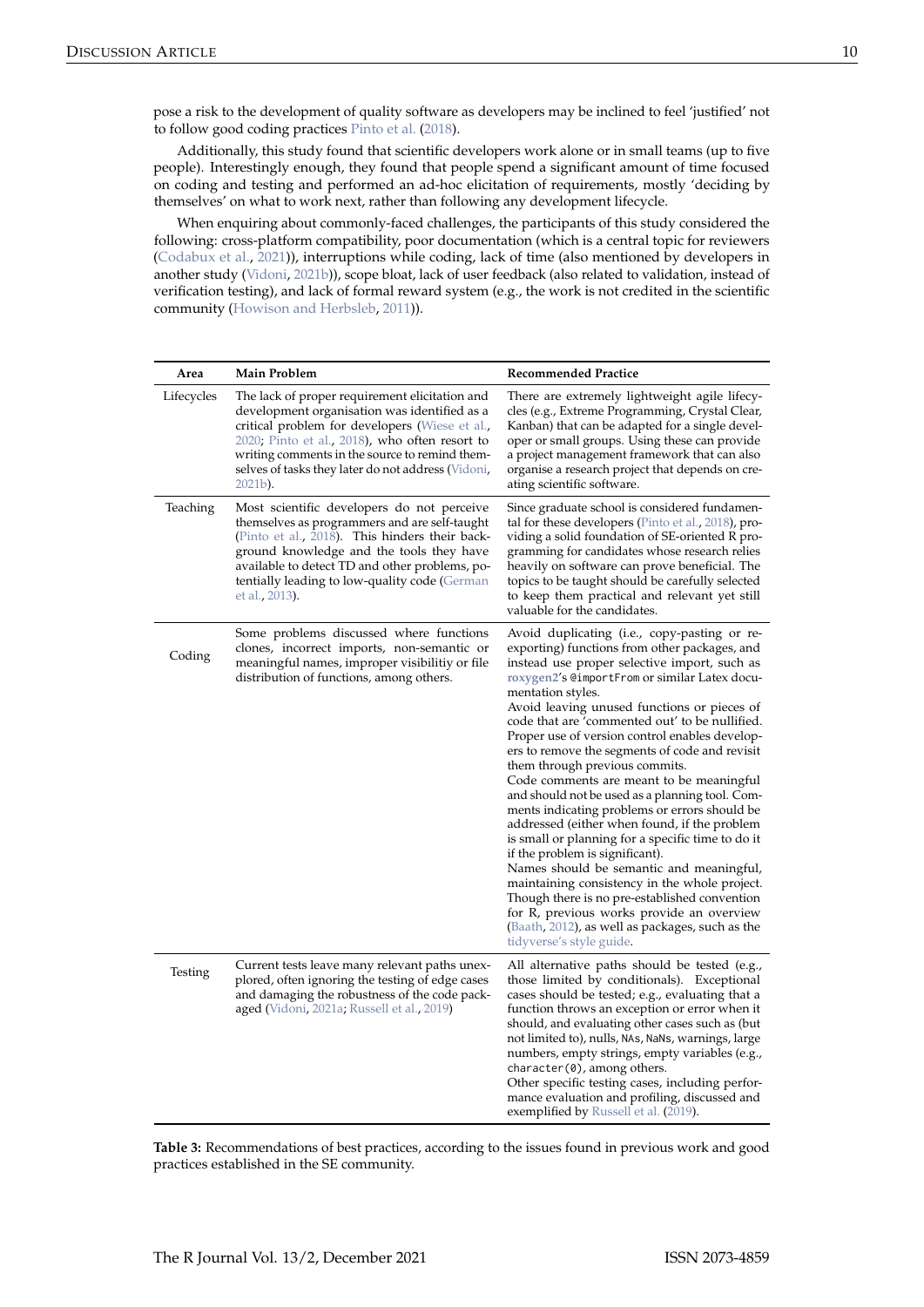<span id="page-4-1"></span>Additionally, this study found that scientific developers work alone or in small teams (up to five people). Interestingly enough, they found that people spend a significant amount of time focused on coding and testing and performed an ad-hoc elicitation of requirements, mostly 'deciding by themselves' on what to work next, rather than following any development lifecycle.

When enquiring about commonly-faced challenges, the participants of this study considered the following: cross-platform compatibility, poor documentation (which is a central topic for reviewers [\(Codabux et al.,](#page-6-4) [2021\)](#page-6-4)), interruptions while coding, lack of time (also mentioned by developers in another study [\(Vidoni,](#page-8-4) [2021b\)](#page-8-4)), scope bloat, lack of user feedback (also related to validation, instead of verification testing), and lack of formal reward system (e.g., the work is not credited in the scientific community [\(Howison and Herbsleb,](#page-7-15) [2011\)](#page-7-15)).

<span id="page-4-0"></span>

| Area       | <b>Main Problem</b>                                                                                                                                                                                                                                                                                                         | <b>Recommended Practice</b>                                                                                                                                                                                                                                                                                                                                                                                                                                                                                                                                                                                                                                                                                                                                                                                                                                                                                                                                                                                                  |
|------------|-----------------------------------------------------------------------------------------------------------------------------------------------------------------------------------------------------------------------------------------------------------------------------------------------------------------------------|------------------------------------------------------------------------------------------------------------------------------------------------------------------------------------------------------------------------------------------------------------------------------------------------------------------------------------------------------------------------------------------------------------------------------------------------------------------------------------------------------------------------------------------------------------------------------------------------------------------------------------------------------------------------------------------------------------------------------------------------------------------------------------------------------------------------------------------------------------------------------------------------------------------------------------------------------------------------------------------------------------------------------|
| Lifecycles | The lack of proper requirement elicitation and<br>development organisation was identified as a<br>critical problem for developers (Wiese et al.,<br>$2020$ ; Pinto et al., $2018$ ), who often resort to<br>writing comments in the source to remind them-<br>selves of tasks they later do not address (Vidoni,<br>2021b). | There are extremely lightweight agile lifecy-<br>cles (e.g., Extreme Programming, Crystal Clear,<br>Kanban) that can be adapted for a single devel-<br>oper or small groups. Using these can provide<br>a project management framework that can also<br>organise a research project that depends on cre-<br>ating scientific software.                                                                                                                                                                                                                                                                                                                                                                                                                                                                                                                                                                                                                                                                                       |
| Teaching   | Most scientific developers do not perceive<br>themselves as programmers and are self-taught<br>(Pinto et al., 2018). This hinders their back-<br>ground knowledge and the tools they have<br>available to detect TD and other problems, po-<br>tentially leading to low-quality code (German<br>et al., 2013).              | Since graduate school is considered fundamen-<br>tal for these developers (Pinto et al., 2018), pro-<br>viding a solid foundation of SE-oriented R pro-<br>gramming for candidates whose research relies<br>heavily on software can prove beneficial. The<br>topics to be taught should be carefully selected<br>to keep them practical and relevant yet still<br>valuable for the candidates.                                                                                                                                                                                                                                                                                                                                                                                                                                                                                                                                                                                                                               |
| Coding     | Some problems discussed where functions<br>clones, incorrect imports, non-semantic or<br>meaningful names, improper visibilitiy or file<br>distribution of functions, among others.                                                                                                                                         | Avoid duplicating (i.e., copy-pasting or re-<br>exporting) functions from other packages, and<br>instead use proper selective import, such as<br>roxygen2's @importFrom or similar Latex docu-<br>mentation styles.<br>Avoid leaving unused functions or pieces of<br>code that are 'commented out' to be nullified.<br>Proper use of version control enables develop-<br>ers to remove the segments of code and revisit<br>them through previous commits.<br>Code comments are meant to be meaningful<br>and should not be used as a planning tool. Com-<br>ments indicating problems or errors should be<br>addressed (either when found, if the problem<br>is small or planning for a specific time to do it<br>if the problem is significant).<br>Names should be semantic and meaningful,<br>maintaining consistency in the whole project.<br>Though there is no pre-established convention<br>for R, previous works provide an overview<br>(Baath, 2012), as well as packages, such as the<br>tidyverse's style guide. |
| Testing    | Current tests leave many relevant paths unex-<br>plored, often ignoring the testing of edge cases<br>and damaging the robustness of the code pack-<br>aged (Vidoni, 2021a; Russell et al., 2019)                                                                                                                            | All alternative paths should be tested (e.g.,<br>those limited by conditionals). Exceptional<br>cases should be tested; e.g., evaluating that a<br>function throws an exception or error when it<br>should, and evaluating other cases such as (but<br>not limited to), nulls, NAs, NaNs, warnings, large<br>numbers, empty strings, empty variables (e.g.,<br>character(0), among others.<br>Other specific testing cases, including perfor-<br>mance evaluation and profiling, discussed and<br>exemplified by Russell et al. (2019).                                                                                                                                                                                                                                                                                                                                                                                                                                                                                      |

**Table 3:** Recommendations of best practices, according to the issues found in previous work and good practices established in the SE community.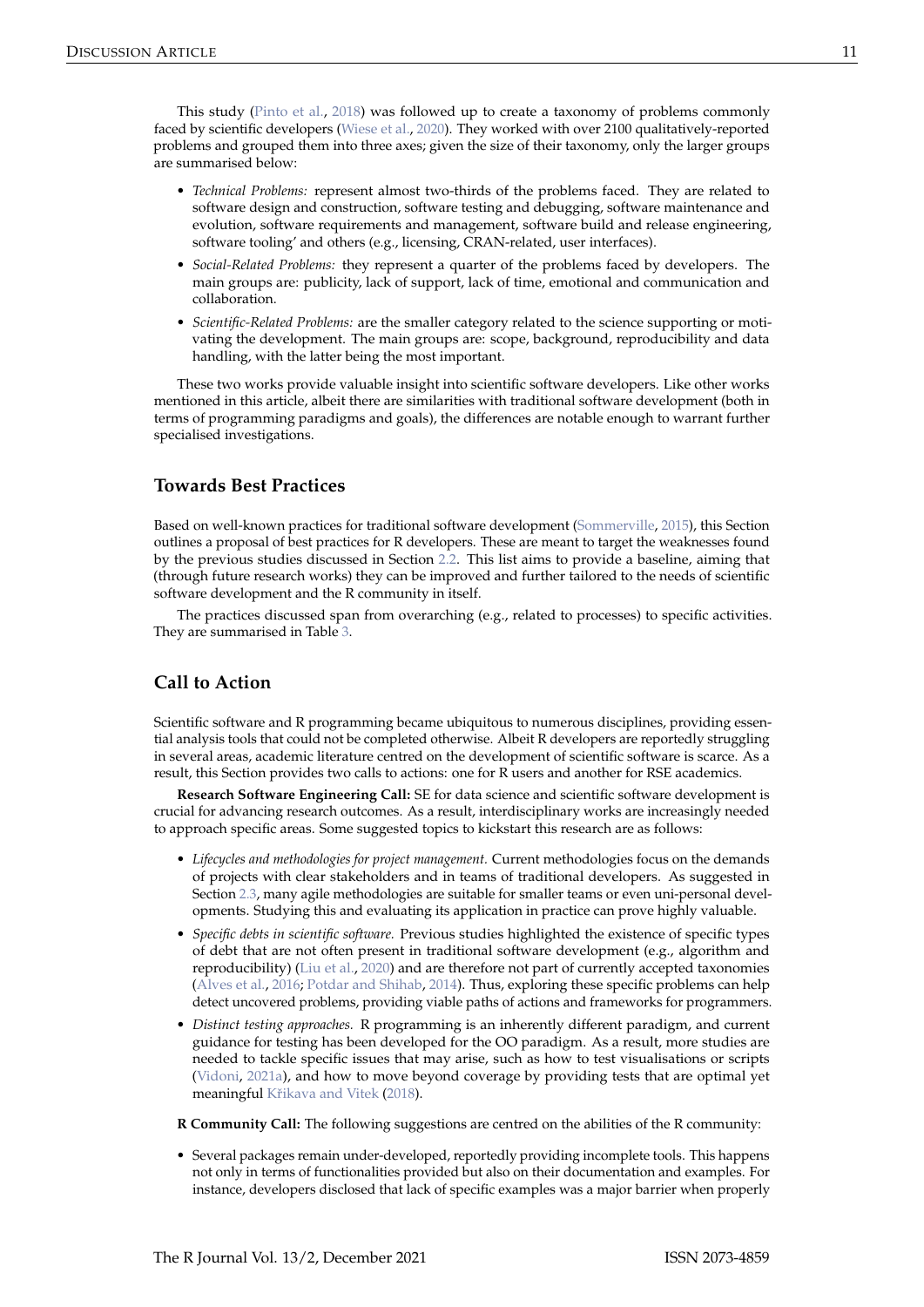<span id="page-5-2"></span>This study [\(Pinto et al.,](#page-7-7) [2018\)](#page-7-7) was followed up to create a taxonomy of problems commonly faced by scientific developers [\(Wiese et al.,](#page-8-6) [2020\)](#page-8-6). They worked with over 2100 qualitatively-reported problems and grouped them into three axes; given the size of their taxonomy, only the larger groups are summarised below:

- *Technical Problems:* represent almost two-thirds of the problems faced. They are related to software design and construction, software testing and debugging, software maintenance and evolution, software requirements and management, software build and release engineering, software tooling' and others (e.g., licensing, CRAN-related, user interfaces).
- *Social-Related Problems:* they represent a quarter of the problems faced by developers. The main groups are: publicity, lack of support, lack of time, emotional and communication and collaboration.
- *Scientific-Related Problems:* are the smaller category related to the science supporting or motivating the development. The main groups are: scope, background, reproducibility and data handling, with the latter being the most important.

These two works provide valuable insight into scientific software developers. Like other works mentioned in this article, albeit there are similarities with traditional software development (both in terms of programming paradigms and goals), the differences are notable enough to warrant further specialised investigations.

# <span id="page-5-0"></span>**Towards Best Practices**

Based on well-known practices for traditional software development [\(Sommerville,](#page-8-7) [2015\)](#page-8-7), this Section outlines a proposal of best practices for R developers. These are meant to target the weaknesses found by the previous studies discussed in Section [2.2.](#page-1-0) This list aims to provide a baseline, aiming that (through future research works) they can be improved and further tailored to the needs of scientific software development and the R community in itself.

The practices discussed span from overarching (e.g., related to processes) to specific activities. They are summarised in Table [3.](#page-4-0)

# <span id="page-5-1"></span>**Call to Action**

Scientific software and R programming became ubiquitous to numerous disciplines, providing essential analysis tools that could not be completed otherwise. Albeit R developers are reportedly struggling in several areas, academic literature centred on the development of scientific software is scarce. As a result, this Section provides two calls to actions: one for R users and another for RSE academics.

**Research Software Engineering Call:** SE for data science and scientific software development is crucial for advancing research outcomes. As a result, interdisciplinary works are increasingly needed to approach specific areas. Some suggested topics to kickstart this research are as follows:

- *Lifecycles and methodologies for project management.* Current methodologies focus on the demands of projects with clear stakeholders and in teams of traditional developers. As suggested in Section [2.3,](#page-5-0) many agile methodologies are suitable for smaller teams or even uni-personal developments. Studying this and evaluating its application in practice can prove highly valuable.
- *Specific debts in scientific software.* Previous studies highlighted the existence of specific types of debt that are not often present in traditional software development (e.g., algorithm and reproducibility) [\(Liu et al.,](#page-7-11) [2020\)](#page-7-11) and are therefore not part of currently accepted taxonomies [\(Alves et al.,](#page-6-3) [2016;](#page-6-3) [Potdar and Shihab,](#page-7-10) [2014\)](#page-7-10). Thus, exploring these specific problems can help detect uncovered problems, providing viable paths of actions and frameworks for programmers.
- *Distinct testing approaches.* R programming is an inherently different paradigm, and current guidance for testing has been developed for the OO paradigm. As a result, more studies are needed to tackle specific issues that may arise, such as how to test visualisations or scripts [\(Vidoni,](#page-8-2) [2021a\)](#page-8-2), and how to move beyond coverage by providing tests that are optimal yet meaningful Křikava and Vitek [\(2018\)](#page-7-13).
- **R Community Call:** The following suggestions are centred on the abilities of the R community:
- Several packages remain under-developed, reportedly providing incomplete tools. This happens not only in terms of functionalities provided but also on their documentation and examples. For instance, developers disclosed that lack of specific examples was a major barrier when properly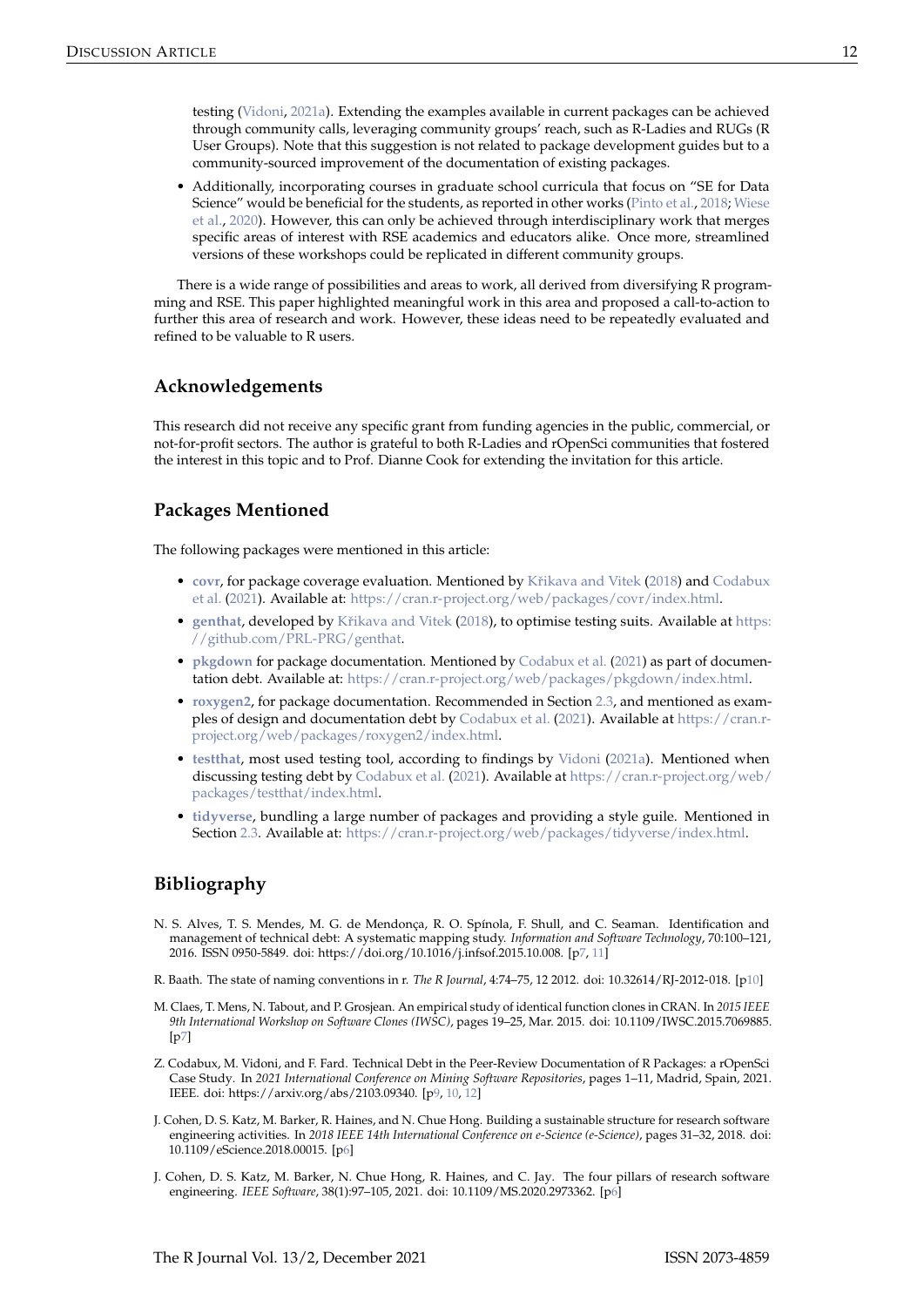<span id="page-6-6"></span>testing [\(Vidoni,](#page-8-2) [2021a\)](#page-8-2). Extending the examples available in current packages can be achieved through community calls, leveraging community groups' reach, such as R-Ladies and RUGs (R User Groups). Note that this suggestion is not related to package development guides but to a community-sourced improvement of the documentation of existing packages.

• Additionally, incorporating courses in graduate school curricula that focus on "SE for Data Science" would be beneficial for the students, as reported in other works [\(Pinto et al.,](#page-7-7) [2018;](#page-7-7) [Wiese](#page-8-6) [et al.,](#page-8-6) [2020\)](#page-8-6). However, this can only be achieved through interdisciplinary work that merges specific areas of interest with RSE academics and educators alike. Once more, streamlined versions of these workshops could be replicated in different community groups.

There is a wide range of possibilities and areas to work, all derived from diversifying R programming and RSE. This paper highlighted meaningful work in this area and proposed a call-to-action to further this area of research and work. However, these ideas need to be repeatedly evaluated and refined to be valuable to R users.

## **Acknowledgements**

This research did not receive any specific grant from funding agencies in the public, commercial, or not-for-profit sectors. The author is grateful to both R-Ladies and rOpenSci communities that fostered the interest in this topic and to Prof. Dianne Cook for extending the invitation for this article.

# **Packages Mentioned**

The following packages were mentioned in this article:

- **[covr](https://CRAN.R-project.org/package=covr), for package coverage evaluation. Mentioned by Křikava and Vitek [\(2018\)](#page-7-13) and [Codabux](#page-6-4)** [et al.](#page-6-4) [\(2021\)](#page-6-4). Available at: [https://cran.r-project.org/web/packages/covr/index.html.](https://cran.r-project.org/web/packages/covr/index.html)
- [genthat](https://CRAN.R-project.org/package=genthat), developed by Křikava and Vitek [\(2018\)](#page-7-13), to optimise testing suits. Available at [https:](https://github.com/PRL-PRG/genthat) [//github.com/PRL-PRG/genthat.](https://github.com/PRL-PRG/genthat)
- **[pkgdown](https://CRAN.R-project.org/package=pkgdown)** for package documentation. Mentioned by [Codabux et al.](#page-6-4) [\(2021\)](#page-6-4) as part of documentation debt. Available at: [https://cran.r-project.org/web/packages/pkgdown/index.html.](https://cran.r-project.org/web/packages/pkgdown/index.html)
- **[roxygen2](https://CRAN.R-project.org/package=roxygen2)**, for package documentation. Recommended in Section [2.3,](#page-5-0) and mentioned as examples of design and documentation debt by [Codabux et al.](#page-6-4) [\(2021\)](#page-6-4). Available at [https://cran.r](https://cran.r-project.org/web/packages/roxygen2/index.html)[project.org/web/packages/roxygen2/index.html.](https://cran.r-project.org/web/packages/roxygen2/index.html)
- **[testthat](https://CRAN.R-project.org/package=testthat)**, most used testing tool, according to findings by [Vidoni](#page-8-2) [\(2021a\)](#page-8-2). Mentioned when discussing testing debt by [Codabux et al.](#page-6-4) [\(2021\)](#page-6-4). Available at [https://cran.r-project.org/web/](https://cran.r-project.org/web/packages/testthat/index.html) [packages/testthat/index.html.](https://cran.r-project.org/web/packages/testthat/index.html)
- **[tidyverse](https://CRAN.R-project.org/package=tidyverse)**, bundling a large number of packages and providing a style guile. Mentioned in Section [2.3.](#page-5-0) Available at: [https://cran.r-project.org/web/packages/tidyverse/index.html.](https://cran.r-project.org/web/packages/tidyverse/index.html)

# **Bibliography**

- <span id="page-6-3"></span>N. S. Alves, T. S. Mendes, M. G. de Mendonça, R. O. Spínola, F. Shull, and C. Seaman. Identification and management of technical debt: A systematic mapping study. *Information and Software Technology*, 70:100–121, 2016. ISSN 0950-5849. doi: https://doi.org/10.1016/j.infsof.2015.10.008. [[p7,](#page-1-1) [11\]](#page-5-2)
- <span id="page-6-5"></span>R. Baath. The state of naming conventions in r. *The R Journal*, 4:74–75, 12 2012. doi: 10.32614/RJ-2012-018. [[p10\]](#page-4-1)
- <span id="page-6-2"></span>M. Claes, T. Mens, N. Tabout, and P. Grosjean. An empirical study of identical function clones in CRAN. In *2015 IEEE 9th International Workshop on Software Clones (IWSC)*, pages 19–25, Mar. 2015. doi: 10.1109/IWSC.2015.7069885.  $[p7]$  $[p7]$
- <span id="page-6-4"></span>Z. Codabux, M. Vidoni, and F. Fard. Technical Debt in the Peer-Review Documentation of R Packages: a rOpenSci Case Study. In *2021 International Conference on Mining Software Repositories*, pages 1–11, Madrid, Spain, 2021. IEEE. doi: https://arxiv.org/abs/2103.09340. [[p9,](#page-3-1) [10,](#page-4-1) [12\]](#page-6-6)
- <span id="page-6-1"></span>J. Cohen, D. S. Katz, M. Barker, R. Haines, and N. Chue Hong. Building a sustainable structure for research software engineering activities. In *2018 IEEE 14th International Conference on e-Science (e-Science)*, pages 31–32, 2018. doi: 10.1109/eScience.2018.00015. [[p6\]](#page-0-0)
- <span id="page-6-0"></span>J. Cohen, D. S. Katz, M. Barker, N. Chue Hong, R. Haines, and C. Jay. The four pillars of research software engineering. *IEEE Software*, 38(1):97–105, 2021. doi: 10.1109/MS.2020.2973362. [[p6\]](#page-0-0)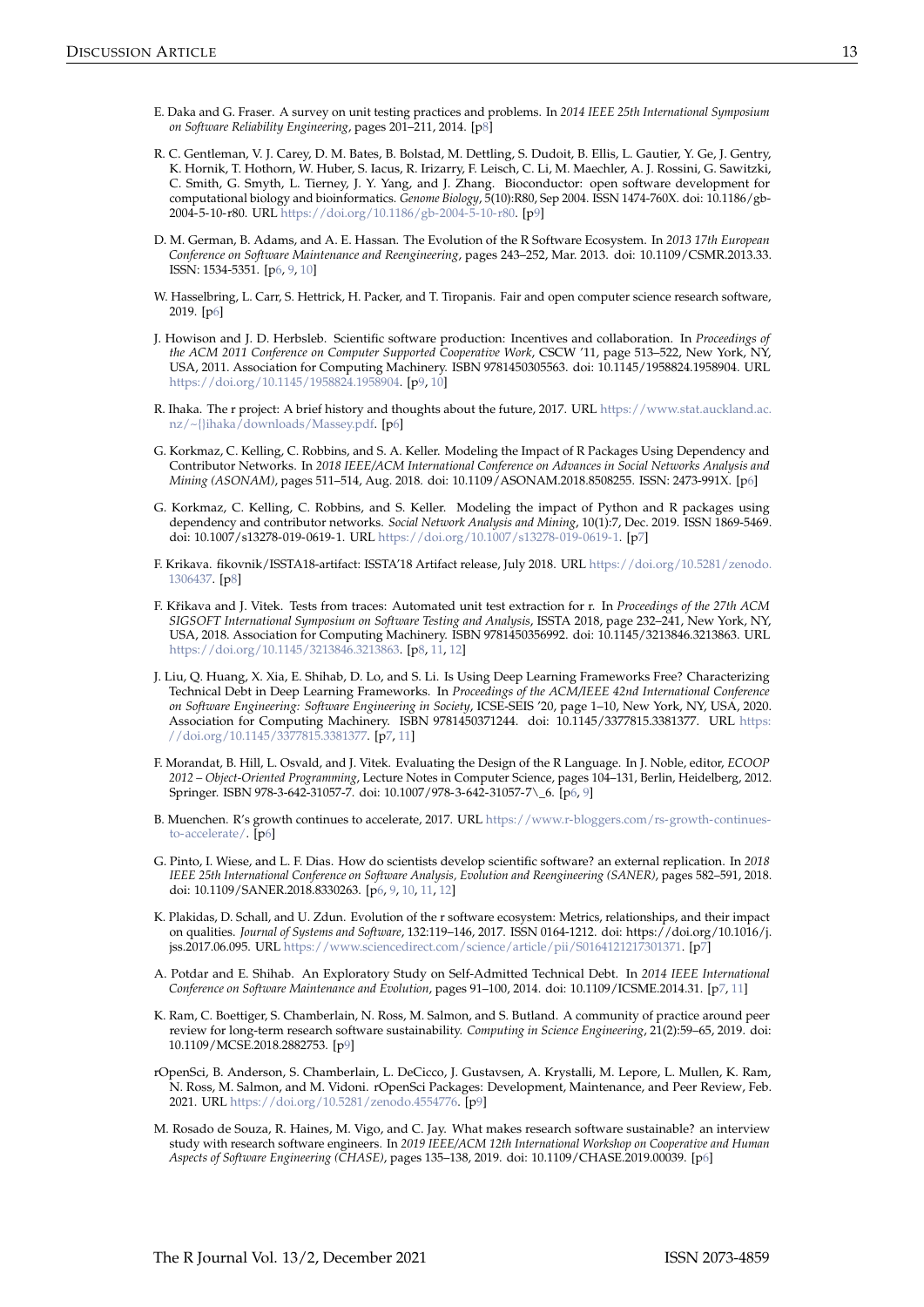- <span id="page-7-12"></span>E. Daka and G. Fraser. A survey on unit testing practices and problems. In *2014 IEEE 25th International Symposium on Software Reliability Engineering*, pages 201–211, 2014. [[p8\]](#page-2-1)
- <span id="page-7-18"></span>R. C. Gentleman, V. J. Carey, D. M. Bates, B. Bolstad, M. Dettling, S. Dudoit, B. Ellis, L. Gautier, Y. Ge, J. Gentry, K. Hornik, T. Hothorn, W. Huber, S. Iacus, R. Irizarry, F. Leisch, C. Li, M. Maechler, A. J. Rossini, G. Sawitzki, C. Smith, G. Smyth, L. Tierney, J. Y. Yang, and J. Zhang. Bioconductor: open software development for computational biology and bioinformatics. *Genome Biology*, 5(10):R80, Sep 2004. ISSN 1474-760X. doi: 10.1186/gb-2004-5-10-r80. URL [https://doi.org/10.1186/gb-2004-5-10-r80.](https://doi.org/10.1186/gb-2004-5-10-r80) [[p9\]](#page-3-1)
- <span id="page-7-4"></span>D. M. German, B. Adams, and A. E. Hassan. The Evolution of the R Software Ecosystem. In *2013 17th European Conference on Software Maintenance and Reengineering*, pages 243–252, Mar. 2013. doi: 10.1109/CSMR.2013.33. ISSN: 1534-5351. [[p6,](#page-0-0) [9,](#page-3-1) [10\]](#page-4-1)
- <span id="page-7-5"></span>W. Hasselbring, L. Carr, S. Hettrick, H. Packer, and T. Tiropanis. Fair and open computer science research software, 2019. [[p6\]](#page-0-0)
- <span id="page-7-15"></span>J. Howison and J. D. Herbsleb. Scientific software production: Incentives and collaboration. In *Proceedings of the ACM 2011 Conference on Computer Supported Cooperative Work*, CSCW '11, page 513–522, New York, NY, USA, 2011. Association for Computing Machinery. ISBN 9781450305563. doi: 10.1145/1958824.1958904. URL [https://doi.org/10.1145/1958824.1958904.](https://doi.org/10.1145/1958824.1958904) [[p9,](#page-3-1) [10\]](#page-4-1)
- <span id="page-7-1"></span>R. Ihaka. The r project: A brief history and thoughts about the future, 2017. URL [https://www.stat.auckland.ac.](https://www.stat.auckland.ac.nz/ ~{}ihaka/downloads/Massey.pdf) [nz/~{}ihaka/downloads/Massey.pdf.](https://www.stat.auckland.ac.nz/ ~{}ihaka/downloads/Massey.pdf) [[p6\]](#page-0-0)
- <span id="page-7-3"></span>G. Korkmaz, C. Kelling, C. Robbins, and S. A. Keller. Modeling the Impact of R Packages Using Dependency and Contributor Networks. In *2018 IEEE/ACM International Conference on Advances in Social Networks Analysis and Mining (ASONAM)*, pages 511–514, Aug. 2018. doi: 10.1109/ASONAM.2018.8508255. ISSN: 2473-991X. [[p6\]](#page-0-0)
- <span id="page-7-8"></span>G. Korkmaz, C. Kelling, C. Robbins, and S. Keller. Modeling the impact of Python and R packages using dependency and contributor networks. *Social Network Analysis and Mining*, 10(1):7, Dec. 2019. ISSN 1869-5469. doi: 10.1007/s13278-019-0619-1. URL [https://doi.org/10.1007/s13278-019-0619-1.](https://doi.org/10.1007/s13278-019-0619-1) [[p7\]](#page-1-1)
- <span id="page-7-14"></span>F. Krikava. fikovnik/ISSTA18-artifact: ISSTA'18 Artifact release, July 2018. URL [https://doi.org/10.5281/zenodo.](https://doi.org/10.5281/zenodo.1306437) [1306437.](https://doi.org/10.5281/zenodo.1306437) [[p8\]](#page-2-1)
- <span id="page-7-13"></span>F. Křikava and J. Vitek. Tests from traces: Automated unit test extraction for r. In *Proceedings of the 27th ACM SIGSOFT International Symposium on Software Testing and Analysis*, ISSTA 2018, page 232–241, New York, NY, USA, 2018. Association for Computing Machinery. ISBN 9781450356992. doi: 10.1145/3213846.3213863. URL [https://doi.org/10.1145/3213846.3213863.](https://doi.org/10.1145/3213846.3213863) [[p8,](#page-2-1) [11,](#page-5-2) [12\]](#page-6-6)
- <span id="page-7-11"></span>J. Liu, Q. Huang, X. Xia, E. Shihab, D. Lo, and S. Li. Is Using Deep Learning Frameworks Free? Characterizing Technical Debt in Deep Learning Frameworks. In *Proceedings of the ACM/IEEE 42nd International Conference on Software Engineering: Software Engineering in Society*, ICSE-SEIS '20, page 1–10, New York, NY, USA, 2020. Association for Computing Machinery. ISBN 9781450371244. doi: 10.1145/3377815.3381377. URL [https:](https://doi.org/10.1145/3377815.3381377) [//doi.org/10.1145/3377815.3381377.](https://doi.org/10.1145/3377815.3381377) [[p7,](#page-1-1) [11\]](#page-5-2)
- <span id="page-7-0"></span>F. Morandat, B. Hill, L. Osvald, and J. Vitek. Evaluating the Design of the R Language. In J. Noble, editor, *ECOOP 2012 – Object-Oriented Programming*, Lecture Notes in Computer Science, pages 104–131, Berlin, Heidelberg, 2012. Springer. ISBN 978-3-642-31057-7. doi: 10.1007/978-3-642-31057-7\\_6. [[p6,](#page-0-0) [9\]](#page-3-1)
- <span id="page-7-2"></span>B. Muenchen. R's growth continues to accelerate, 2017. URL [https://www.r-bloggers.com/rs-growth-continues](https://www.r-bloggers.com/rs-growth-continues-to-accelerate/)[to-accelerate/.](https://www.r-bloggers.com/rs-growth-continues-to-accelerate/) [[p6\]](#page-0-0)
- <span id="page-7-7"></span>G. Pinto, I. Wiese, and L. F. Dias. How do scientists develop scientific software? an external replication. In *2018 IEEE 25th International Conference on Software Analysis, Evolution and Reengineering (SANER)*, pages 582–591, 2018. doi: 10.1109/SANER.2018.8330263. [[p6,](#page-0-0) [9,](#page-3-1) [10,](#page-4-1) [11,](#page-5-2) [12\]](#page-6-6)
- <span id="page-7-9"></span>K. Plakidas, D. Schall, and U. Zdun. Evolution of the r software ecosystem: Metrics, relationships, and their impact on qualities. *Journal of Systems and Software*, 132:119–146, 2017. ISSN 0164-1212. doi: https://doi.org/10.1016/j. jss.2017.06.095. URL [https://www.sciencedirect.com/science/article/pii/S0164121217301371.](https://www.sciencedirect.com/science/article/pii/S0164121217301371) [[p7\]](#page-1-1)
- <span id="page-7-10"></span>A. Potdar and E. Shihab. An Exploratory Study on Self-Admitted Technical Debt. In *2014 IEEE International Conference on Software Maintenance and Evolution*, pages 91–100, 2014. doi: 10.1109/ICSME.2014.31. [[p7,](#page-1-1) [11\]](#page-5-2)
- <span id="page-7-16"></span>K. Ram, C. Boettiger, S. Chamberlain, N. Ross, M. Salmon, and S. Butland. A community of practice around peer review for long-term research software sustainability. *Computing in Science Engineering*, 21(2):59–65, 2019. doi: 10.1109/MCSE.2018.2882753. [[p9\]](#page-3-1)
- <span id="page-7-17"></span>rOpenSci, B. Anderson, S. Chamberlain, L. DeCicco, J. Gustavsen, A. Krystalli, M. Lepore, L. Mullen, K. Ram, N. Ross, M. Salmon, and M. Vidoni. rOpenSci Packages: Development, Maintenance, and Peer Review, Feb. 2021. URL [https://doi.org/10.5281/zenodo.4554776.](https://doi.org/10.5281/zenodo.4554776) [[p9\]](#page-3-1)
- <span id="page-7-6"></span>M. Rosado de Souza, R. Haines, M. Vigo, and C. Jay. What makes research software sustainable? an interview study with research software engineers. In *2019 IEEE/ACM 12th International Workshop on Cooperative and Human Aspects of Software Engineering (CHASE)*, pages 135–138, 2019. doi: 10.1109/CHASE.2019.00039. [[p6\]](#page-0-0)